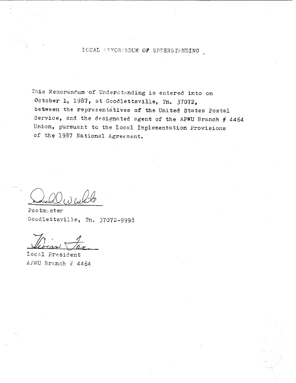### LOCAL MEMORANDUM OF UNDERSTANDING

This Memorandum of Understanding is entered into on October 1, 1987, at Goodlettsville, Tn. 37072, between the representatives of the United States Postal Service, and the designated agent of the APWU Branch  $#$  4464 Union, pursuant to the Local Implementation Provisions of the 1987 National Agreement.

 $\blacksquare$ 

Postmcster Goodlettsville, Tn. 37072-9993

Ls:~-

Local President APWU Branch  $\#$  4464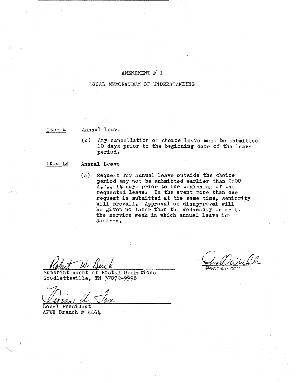### AMENDMENT # 1

### LOCAL MEMORANDUM OF UNDERSTANDING

#### Item 4 Annual Leave

(c) Any cancellation of choice leave must be submitted 10 days prior to the beginning date of the leave period.

#### Item 12 Annual Leave

(a) Request for annual leave outside' the choice period may not be submitted earlier than 9:00  $A_{\bullet}M_{\bullet}$ , 14 days prior to the beginning of the requested leave. In the event more than one request is submitted at the same time, seniority will prevail. Approval or disapproval will be given no later than the Wednesday prior to the service week in which annual leave is  $\sim$ desired.

while Postmaster

Superintendent Of Postal Operations Goodlettsville, TN 37072-9998

~~1d4

Local President APWU Branch  $#$  4464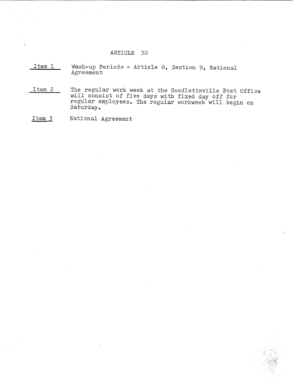### ARTICLE 30

Item 1 Wash-up Periods - Article 8, Section 9, National Agreement

Item 2 The regular work week at the Goodlettsville Post Office will consist of *five* days with fixed day off for regular employees. The regular workweek will begin on Saturday.

Item 3 National Agreement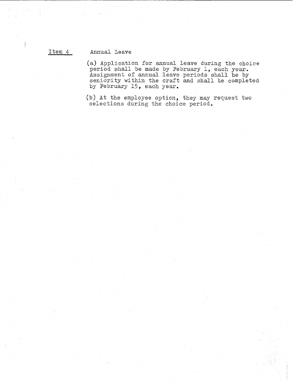### Item 4 Annual Leave

(a) Application for annual leave during the choice period shall be made by February 1, each year. Assignment of annual leave periods shall be by seniority within the craft and shall be completed by February 15, each year.

(b) At the employee option, they may reQuest two selections during the choice period.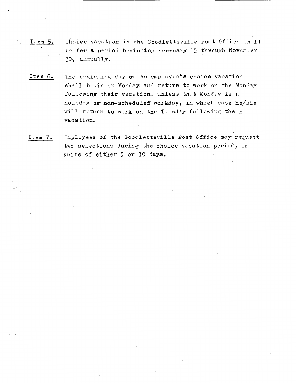- Item 5. Choice vacation in the Goodlettsville Post Office shall be for a period beginning February 15 through November , 30,, annually.
- Item 6. The beginning day of an employee's choice vacation shall begin on Mond2y and return to work on the Monday following their vacation, unless that Monday is a holiday or non-scheduled workday, in which case he/she will return to work on the Tuesday following their vacation.
- Item 7. Employees of the Goodlettsville Post Office may request two selections during the choice vacation period, in units of either 5 or 10 days.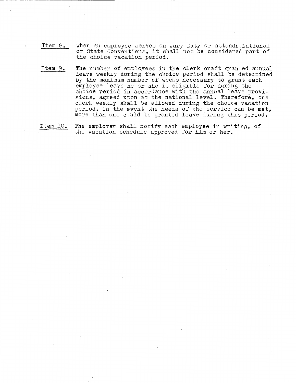- Item 8. When an employee serves on Jury Duty or attends National or State Conventions, it shall not be considered part of the choice vacation period.
- Item 9. The number of employees in the clerk craft granted annual leave weekly during the choice period shall be determined by the maximum number of weeks necessary to grant each employee leave he or she is eligible for during the choice period in accordance with the annual leave provisions, agreed upon at the national level. Therefore, one clerk weekly shall be allowed during the choice vacation period. In the event the needs of the service can be met, more than one could be granted leave during this period.
- Item 10. The employer shall notify each employee in writing, of the vacation schedule approved for him or her.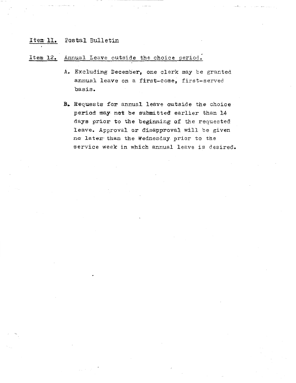# Item 11. Postal Bulletin

## Item 12. Annual Leave outside the choice period.

- A. Excluding December, one clerk may be granted annual leave on a first-come, first-served basis.
- B. Requests for annual leave outside the choice period may not be submitted earlier than 14 days prior to the beginning of the requested leave. Approval or disapproval will be given no later than the Wednesday prior to the service week in which annual leave is desired.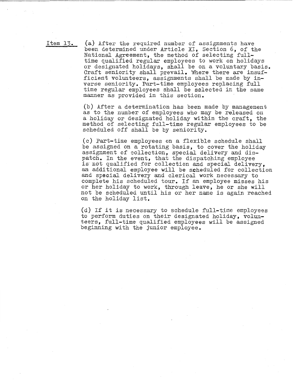Item 13. (a) After the required number of assignments have been determined under Article XI, Section 6, of the National Agreement, the method of selecting fulltime qualified regular employees to work on holidays or designated holidays, shall be on a voluntary basis. Craft seniority shall prevail. Where there are insufficient volunteers, assignments shall be made by inverse seniority. Part-time employees replacing full time regular employees shall be selected *in* the same manner as provided in this section.

> (b) After a determination has been made by management as to the number of employees who may be released on a holiday or designated holiday within the craft, the method of selecting full-time regular employees to be scheduled off shall be by seniority.

(c) Part-time employees on a flexible schedule shall be assigned on a rotating basis, to cover the holiday assignment of collection, special delivery and dispatch. In the event, that the dispatching employee is not qualified for collection and special delivery, an additional employee will be seheduled for collection and special delivery and clerical work necessary to complete his scheduled tour. If an employee misses his or her holiday to work, through leave, he or she will not be scheduled until his or her name is again reached on the holiday list.

(d) If it is necessary to schedule full-time employees to perform duties on their designated holiday, volunteers, full-time qualified employees will be assigned beginning with the junior employee.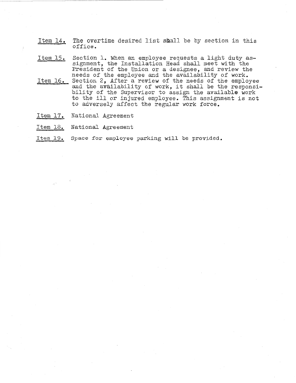- Item 14. The overtime desired list shall be by section in this office.
- Item 15. Section 1. When an employee requests a light duty assignment, the Installation Head shall meet with the President of the Union or a designee, and review the needs of the employee and the availability of work.
- Item 16. Section 2, After a review of the needs of the employee and the availability of work, it shall be the responsi-<br>bility of the Supervisor to assign the available work to the ill or injured employee. This assignment is not to adversely affect the regular work force.
- Item 17. National Agreement
- Item 18. National Agreement
- Item l9. Space for employee parking will be provided.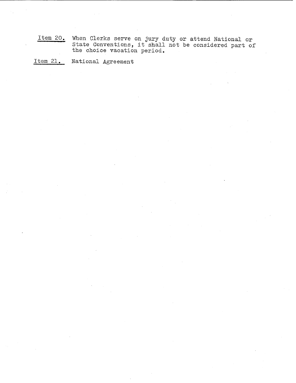Item 20. When Clerks serve on jury duty or attend National or State Conventions, it shall not be considered part of the choice vacation period.

Item 21. National Agreement